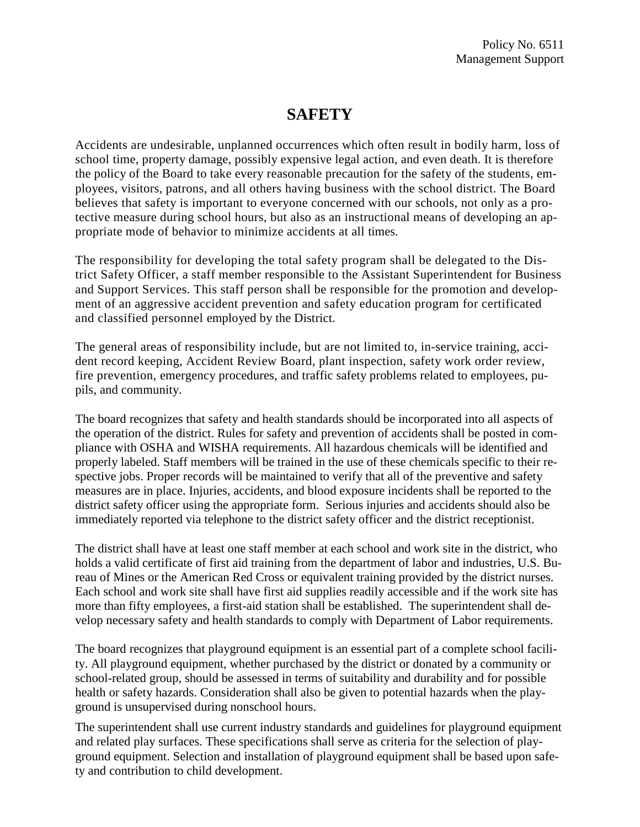## **SAFETY**

Accidents are undesirable, unplanned occurrences which often result in bodily harm, loss of school time, property damage, possibly expensive legal action, and even death. It is therefore the policy of the Board to take every reasonable precaution for the safety of the students, employees, visitors, patrons, and all others having business with the school district. The Board believes that safety is important to everyone concerned with our schools, not only as a protective measure during school hours, but also as an instructional means of developing an appropriate mode of behavior to minimize accidents at all times.

The responsibility for developing the total safety program shall be delegated to the District Safety Officer, a staff member responsible to the Assistant Superintendent for Business and Support Services. This staff person shall be responsible for the promotion and development of an aggressive accident prevention and safety education program for certificated and classified personnel employed by the District.

The general areas of responsibility include, but are not limited to, in-service training, accident record keeping, Accident Review Board, plant inspection, safety work order review, fire prevention, emergency procedures, and traffic safety problems related to employees, pupils, and community.

The board recognizes that safety and health standards should be incorporated into all aspects of the operation of the district. Rules for safety and prevention of accidents shall be posted in compliance with OSHA and WISHA requirements. All hazardous chemicals will be identified and properly labeled. Staff members will be trained in the use of these chemicals specific to their respective jobs. Proper records will be maintained to verify that all of the preventive and safety measures are in place. Injuries, accidents, and blood exposure incidents shall be reported to the district safety officer using the appropriate form. Serious injuries and accidents should also be immediately reported via telephone to the district safety officer and the district receptionist.

The district shall have at least one staff member at each school and work site in the district, who holds a valid certificate of first aid training from the department of labor and industries, U.S. Bureau of Mines or the American Red Cross or equivalent training provided by the district nurses. Each school and work site shall have first aid supplies readily accessible and if the work site has more than fifty employees, a first-aid station shall be established. The superintendent shall develop necessary safety and health standards to comply with Department of Labor requirements.

The board recognizes that playground equipment is an essential part of a complete school facility. All playground equipment, whether purchased by the district or donated by a community or school-related group, should be assessed in terms of suitability and durability and for possible health or safety hazards. Consideration shall also be given to potential hazards when the playground is unsupervised during nonschool hours.

The superintendent shall use current industry standards and guidelines for playground equipment and related play surfaces. These specifications shall serve as criteria for the selection of playground equipment. Selection and installation of playground equipment shall be based upon safety and contribution to child development.